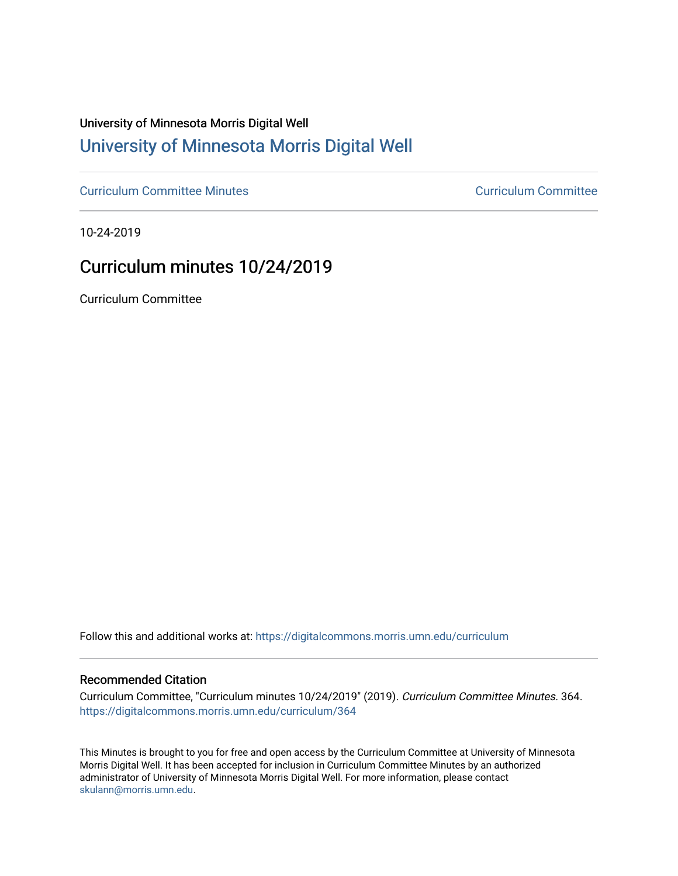# University of Minnesota Morris Digital Well [University of Minnesota Morris Digital Well](https://digitalcommons.morris.umn.edu/)

[Curriculum Committee Minutes](https://digitalcommons.morris.umn.edu/curriculum) [Curriculum Committee](https://digitalcommons.morris.umn.edu/curriculum_committee) 

10-24-2019

# Curriculum minutes 10/24/2019

Curriculum Committee

Follow this and additional works at: [https://digitalcommons.morris.umn.edu/curriculum](https://digitalcommons.morris.umn.edu/curriculum?utm_source=digitalcommons.morris.umn.edu%2Fcurriculum%2F364&utm_medium=PDF&utm_campaign=PDFCoverPages) 

#### Recommended Citation

Curriculum Committee, "Curriculum minutes 10/24/2019" (2019). Curriculum Committee Minutes. 364. [https://digitalcommons.morris.umn.edu/curriculum/364](https://digitalcommons.morris.umn.edu/curriculum/364?utm_source=digitalcommons.morris.umn.edu%2Fcurriculum%2F364&utm_medium=PDF&utm_campaign=PDFCoverPages) 

This Minutes is brought to you for free and open access by the Curriculum Committee at University of Minnesota Morris Digital Well. It has been accepted for inclusion in Curriculum Committee Minutes by an authorized administrator of University of Minnesota Morris Digital Well. For more information, please contact [skulann@morris.umn.edu.](mailto:skulann@morris.umn.edu)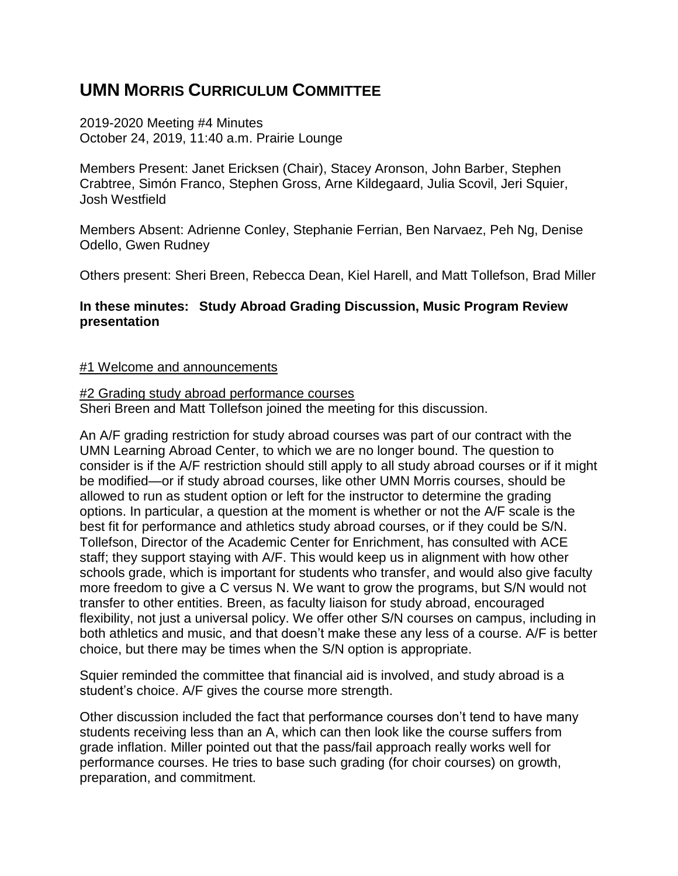## **UMN MORRIS CURRICULUM COMMITTEE**

2019-2020 Meeting #4 Minutes October 24, 2019, 11:40 a.m. Prairie Lounge

Members Present: Janet Ericksen (Chair), Stacey Aronson, John Barber, Stephen Crabtree, Simόn Franco, Stephen Gross, Arne Kildegaard, Julia Scovil, Jeri Squier, Josh Westfield

Members Absent: Adrienne Conley, Stephanie Ferrian, Ben Narvaez, Peh Ng, Denise Odello, Gwen Rudney

Others present: Sheri Breen, Rebecca Dean, Kiel Harell, and Matt Tollefson, Brad Miller

## **In these minutes: Study Abroad Grading Discussion, Music Program Review presentation**

#### #1 Welcome and announcements

#### #2 Grading study abroad performance courses

Sheri Breen and Matt Tollefson joined the meeting for this discussion.

An A/F grading restriction for study abroad courses was part of our contract with the UMN Learning Abroad Center, to which we are no longer bound. The question to consider is if the A/F restriction should still apply to all study abroad courses or if it might be modified—or if study abroad courses, like other UMN Morris courses, should be allowed to run as student option or left for the instructor to determine the grading options. In particular, a question at the moment is whether or not the A/F scale is the best fit for performance and athletics study abroad courses, or if they could be S/N. Tollefson, Director of the Academic Center for Enrichment, has consulted with ACE staff; they support staying with A/F. This would keep us in alignment with how other schools grade, which is important for students who transfer, and would also give faculty more freedom to give a C versus N. We want to grow the programs, but S/N would not transfer to other entities. Breen, as faculty liaison for study abroad, encouraged flexibility, not just a universal policy. We offer other S/N courses on campus, including in both athletics and music, and that doesn't make these any less of a course. A/F is better choice, but there may be times when the S/N option is appropriate.

Squier reminded the committee that financial aid is involved, and study abroad is a student's choice. A/F gives the course more strength.

Other discussion included the fact that performance courses don't tend to have many students receiving less than an A, which can then look like the course suffers from grade inflation. Miller pointed out that the pass/fail approach really works well for performance courses. He tries to base such grading (for choir courses) on growth, preparation, and commitment.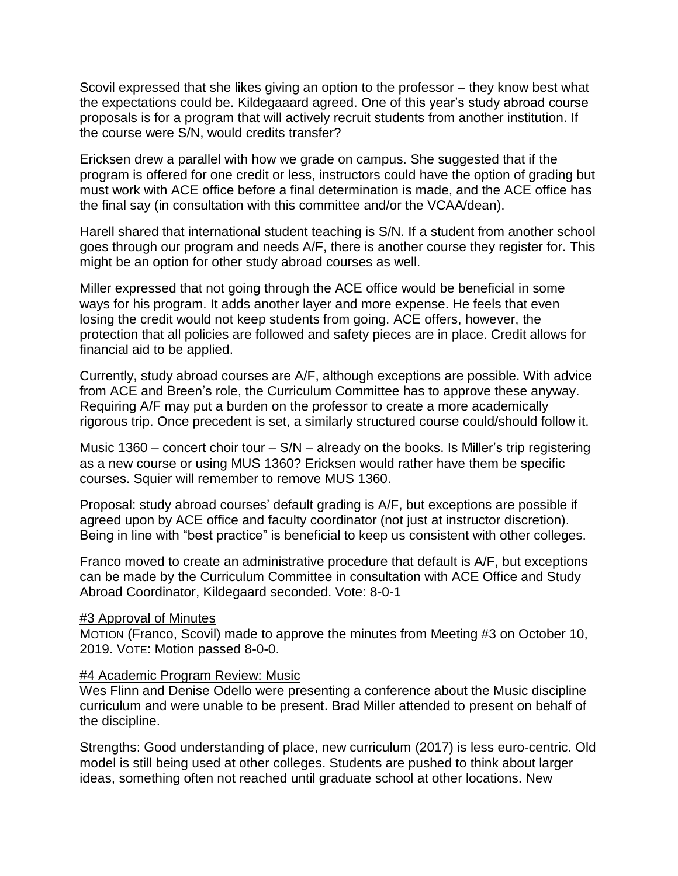Scovil expressed that she likes giving an option to the professor – they know best what the expectations could be. Kildegaaard agreed. One of this year's study abroad course proposals is for a program that will actively recruit students from another institution. If the course were S/N, would credits transfer?

Ericksen drew a parallel with how we grade on campus. She suggested that if the program is offered for one credit or less, instructors could have the option of grading but must work with ACE office before a final determination is made, and the ACE office has the final say (in consultation with this committee and/or the VCAA/dean).

Harell shared that international student teaching is S/N. If a student from another school goes through our program and needs A/F, there is another course they register for. This might be an option for other study abroad courses as well.

Miller expressed that not going through the ACE office would be beneficial in some ways for his program. It adds another layer and more expense. He feels that even losing the credit would not keep students from going. ACE offers, however, the protection that all policies are followed and safety pieces are in place. Credit allows for financial aid to be applied.

Currently, study abroad courses are A/F, although exceptions are possible. With advice from ACE and Breen's role, the Curriculum Committee has to approve these anyway. Requiring A/F may put a burden on the professor to create a more academically rigorous trip. Once precedent is set, a similarly structured course could/should follow it.

Music 1360 – concert choir tour –  $S/N$  – already on the books. Is Miller's trip registering as a new course or using MUS 1360? Ericksen would rather have them be specific courses. Squier will remember to remove MUS 1360.

Proposal: study abroad courses' default grading is A/F, but exceptions are possible if agreed upon by ACE office and faculty coordinator (not just at instructor discretion). Being in line with "best practice" is beneficial to keep us consistent with other colleges.

Franco moved to create an administrative procedure that default is A/F, but exceptions can be made by the Curriculum Committee in consultation with ACE Office and Study Abroad Coordinator, Kildegaard seconded. Vote: 8-0-1

#### **#3 Approval of Minutes**

MOTION (Franco, Scovil) made to approve the minutes from Meeting #3 on October 10, 2019. VOTE: Motion passed 8-0-0.

#### #4 Academic Program Review: Music

Wes Flinn and Denise Odello were presenting a conference about the Music discipline curriculum and were unable to be present. Brad Miller attended to present on behalf of the discipline.

Strengths: Good understanding of place, new curriculum (2017) is less euro-centric. Old model is still being used at other colleges. Students are pushed to think about larger ideas, something often not reached until graduate school at other locations. New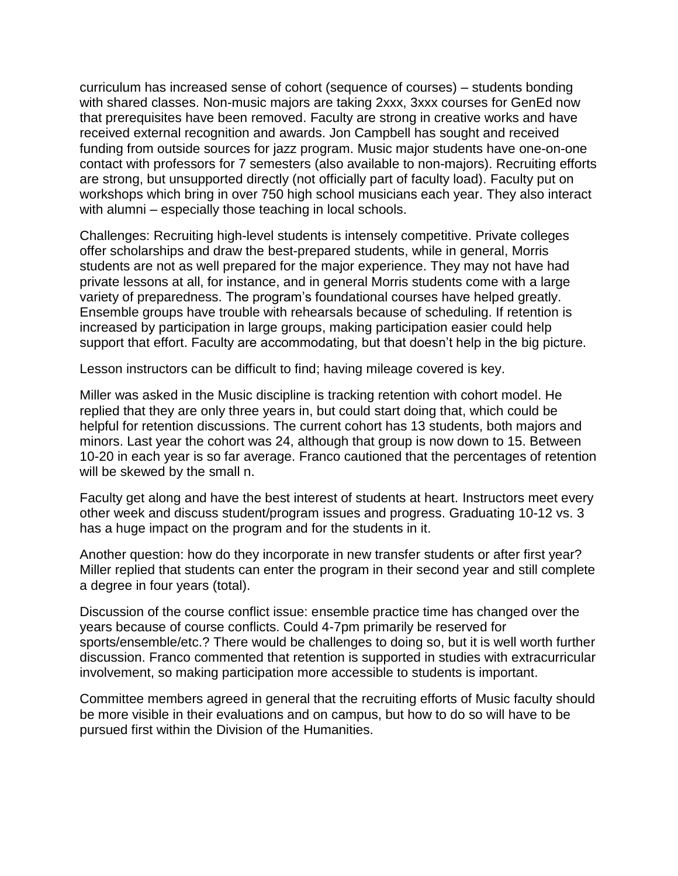curriculum has increased sense of cohort (sequence of courses) – students bonding with shared classes. Non-music majors are taking 2xxx, 3xxx courses for GenEd now that prerequisites have been removed. Faculty are strong in creative works and have received external recognition and awards. Jon Campbell has sought and received funding from outside sources for jazz program. Music major students have one-on-one contact with professors for 7 semesters (also available to non-majors). Recruiting efforts are strong, but unsupported directly (not officially part of faculty load). Faculty put on workshops which bring in over 750 high school musicians each year. They also interact with alumni – especially those teaching in local schools.

Challenges: Recruiting high-level students is intensely competitive. Private colleges offer scholarships and draw the best-prepared students, while in general, Morris students are not as well prepared for the major experience. They may not have had private lessons at all, for instance, and in general Morris students come with a large variety of preparedness. The program's foundational courses have helped greatly. Ensemble groups have trouble with rehearsals because of scheduling. If retention is increased by participation in large groups, making participation easier could help support that effort. Faculty are accommodating, but that doesn't help in the big picture.

Lesson instructors can be difficult to find; having mileage covered is key.

Miller was asked in the Music discipline is tracking retention with cohort model. He replied that they are only three years in, but could start doing that, which could be helpful for retention discussions. The current cohort has 13 students, both majors and minors. Last year the cohort was 24, although that group is now down to 15. Between 10-20 in each year is so far average. Franco cautioned that the percentages of retention will be skewed by the small n.

Faculty get along and have the best interest of students at heart. Instructors meet every other week and discuss student/program issues and progress. Graduating 10-12 vs. 3 has a huge impact on the program and for the students in it.

Another question: how do they incorporate in new transfer students or after first year? Miller replied that students can enter the program in their second year and still complete a degree in four years (total).

Discussion of the course conflict issue: ensemble practice time has changed over the years because of course conflicts. Could 4-7pm primarily be reserved for sports/ensemble/etc.? There would be challenges to doing so, but it is well worth further discussion. Franco commented that retention is supported in studies with extracurricular involvement, so making participation more accessible to students is important.

Committee members agreed in general that the recruiting efforts of Music faculty should be more visible in their evaluations and on campus, but how to do so will have to be pursued first within the Division of the Humanities.